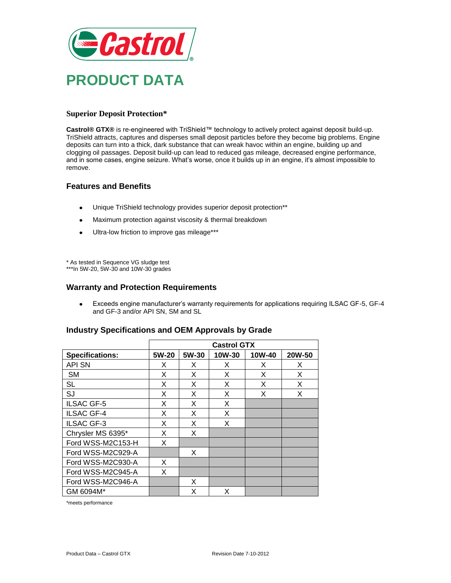

# **Superior Deposit Protection\***

**Castrol® GTX®** is re-engineered with TriShield™ technology to actively protect against deposit build-up. TriShield attracts, captures and disperses small deposit particles before they become big problems. Engine deposits can turn into a thick, dark substance that can wreak havoc within an engine, building up and clogging oil passages. Deposit build-up can lead to reduced gas mileage, decreased engine performance, and in some cases, engine seizure. What's worse, once it builds up in an engine, it's almost impossible to remove.

### **Features and Benefits**

- Unique TriShield technology provides superior deposit protection\*\*  $\bullet$
- Maximum protection against viscosity & thermal breakdown  $\bullet$
- Ultra-low friction to improve gas mileage\*\*\*  $\bullet$

\* As tested in Sequence VG sludge test \*\*\*In 5W-20, 5W-30 and 10W-30 grades

### **Warranty and Protection Requirements**

Exceeds engine manufacturer's warranty requirements for applications requiring ILSAC GF-5, GF-4  $\bullet$ and GF-3 and/or API SN, SM and SL

|                        | <b>Castrol GTX</b> |       |        |        |        |
|------------------------|--------------------|-------|--------|--------|--------|
| <b>Specifications:</b> | 5W-20              | 5W-30 | 10W-30 | 10W-40 | 20W-50 |
| <b>API SN</b>          | X                  | X     | X      | X      | X      |
| <b>SM</b>              | X                  | X     | X      | X      | X      |
| <b>SL</b>              | Χ                  | X     | Х      | Х      | Χ      |
| SJ                     | X                  | X     | X      | X      | X      |
| <b>ILSAC GF-5</b>      | X                  | X     | X      |        |        |
| <b>ILSAC GF-4</b>      | X                  | X     | X      |        |        |
| <b>ILSAC GF-3</b>      | X                  | X     | X      |        |        |
| Chrysler MS 6395*      | X                  | X     |        |        |        |
| Ford WSS-M2C153-H      | X                  |       |        |        |        |
| Ford WSS-M2C929-A      |                    | X     |        |        |        |
| Ford WSS-M2C930-A      | X                  |       |        |        |        |
| Ford WSS-M2C945-A      | Χ                  |       |        |        |        |
| Ford WSS-M2C946-A      |                    | X     |        |        |        |
| GM 6094M*              |                    | X     | X      |        |        |

### **Industry Specifications and OEM Approvals by Grade**

\*meets performance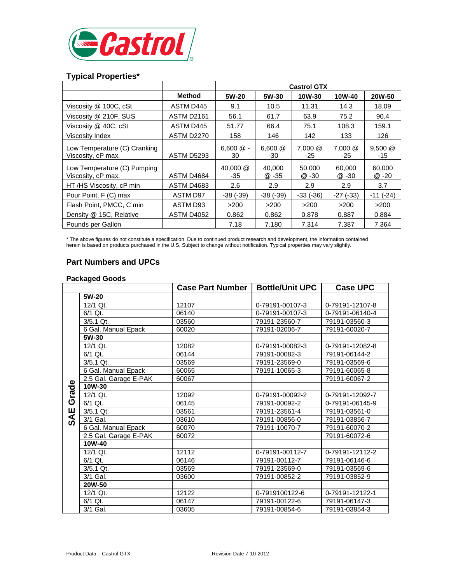

# **Typical Properties\***

|                                                    |                   | <b>Castrol GTX</b> |                   |                   |                   |                  |
|----------------------------------------------------|-------------------|--------------------|-------------------|-------------------|-------------------|------------------|
|                                                    | Method            | 5W-20              | 5W-30             | 10W-30            | 10W-40            | <b>20W-50</b>    |
| Viscosity @ 100C, cSt                              | ASTM D445         | 9.1                | 10.5              | 11.31             | 14.3              | 18.09            |
| Viscosity @ 210F, SUS                              | ASTM D2161        | 56.1               | 61.7              | 63.9              | 75.2              | 90.4             |
| Viscosity @ 40C, cSt                               | ASTM D445         | 51.77              | 66.4              | 75.1              | 108.3             | 159.1            |
| Viscosity Index                                    | <b>ASTM D2270</b> | 158                | 146               | 142               | 133               | 126              |
| Low Temperature (C) Cranking<br>Viscosity, cP max. | ASTM D5293        | $6,600 \& -$<br>30 | $6,600 \&$<br>-30 | $7,000 \&$<br>-25 | $7,000 \&$<br>-25 | $9,500$ @<br>-15 |
| Low Temperature (C) Pumping<br>Viscosity, cP max.  | ASTM D4684        | 40,000 @<br>-35    | 40.000<br>@ -35   | 50,000<br>@ -30   | 60,000<br>@ -30   | 60,000<br>@ -20  |
| HT/HS Viscosity, cP min                            | <b>ASTM D4683</b> | 2.6                | 2.9               | 2.9               | 2.9               | 3.7              |
| Pour Point, F (C) max                              | ASTM D97          | $-38$ $(-39)$      | $-38$ $(-39)$     | $-33( -36)$       | $-27$ ( $-33$ )   | $-11(-24)$       |
| Flash Point, PMCC, C min                           | ASTM D93          | >200               | >200              | >200              | >200              | >200             |
| Density @ 15C, Relative                            | <b>ASTM D4052</b> | 0.862              | 0.862             | 0.878             | 0.887             | 0.884            |
| Pounds per Gallon                                  |                   | 7.18               | 7.180             | 7.314             | 7.387             | 7.364            |

\* The above figures do not constitute a specification. Due to continued product research and development, the information contained herein is based on products purchased in the U.S. Subject to change without notification. Typical properties may vary slightly.

# **Part Numbers and UPCs**

#### **Packaged Goods**

|      |                       | <b>Case Part Number</b> | <b>Bottle/Unit UPC</b> | <b>Case UPC</b> |
|------|-----------------------|-------------------------|------------------------|-----------------|
|      | 5W-20                 |                         |                        |                 |
|      | 12/1 Qt.              | 12107                   | 0-79191-00107-3        | 0-79191-12107-8 |
|      | 6/1 Qt.               | 06140                   | 0-79191-00107-3        | 0-79191-06140-4 |
|      | 3/5.1 Qt.             | 03560                   | 79191-23560-7          | 79191-03560-3   |
|      | 6 Gal. Manual Epack   | 60020                   | 79191-02006-7          | 79191-60020-7   |
|      | 5W-30                 |                         |                        |                 |
|      | 12/1 Qt.              | 12082                   | 0-79191-00082-3        | 0-79191-12082-8 |
|      | 6/1 Qt.               | 06144                   | 79191-00082-3          | 79191-06144-2   |
|      | 3/5.1 Qt.             | 03569                   | 79191-23569-0          | 79191-03569-6   |
|      | 6 Gal. Manual Epack   | 60065                   | 79191-10065-3          | 79191-60065-8   |
|      | 2.5 Gal. Garage E-PAK | 60067                   |                        | 79191-60067-2   |
|      | $10W-30$              |                         |                        |                 |
| rade | 12/1 Qt.              | 12092                   | 0-79191-00092-2        | 0-79191-12092-7 |
| ပ    | 6/1 Qt.               | 06145                   | 79191-00092-2          | 0-79191-06145-9 |
| Ψ    | 3/5.1 Qt.             | 03561                   | 79191-23561-4          | 79191-03561-0   |
| n,   | 3/1 Gal.              | 03610                   | 79191-00856-0          | 79191-03856-7   |
|      | 6 Gal. Manual Epack   | 60070                   | 79191-10070-7          | 79191-60070-2   |
|      | 2.5 Gal. Garage E-PAK | 60072                   |                        | 79191-60072-6   |
|      | 10W-40                |                         |                        |                 |
|      | 12/1 Qt.              | 12112                   | 0-79191-00112-7        | 0-79191-12112-2 |
|      | $\overline{6}/1$ Qt.  | 06146                   | 79191-00112-7          | 79191-06146-6   |
|      | 3/5.1 Qt.             | 03569                   | 79191-23569-0          | 79191-03569-6   |
|      | 3/1 Gal.              | 03600                   | 79191-00852-2          | 79191-03852-9   |
|      | 20W-50                |                         |                        |                 |
|      | 12/1 Qt.              | 12122                   | 0-7919100122-6         | 0-79191-12122-1 |
|      | $6/1$ Qt.             | 06147                   | 79191-00122-6          | 79191-06147-3   |
|      | 3/1 Gal.              | 03605                   | 79191-00854-6          | 79191-03854-3   |